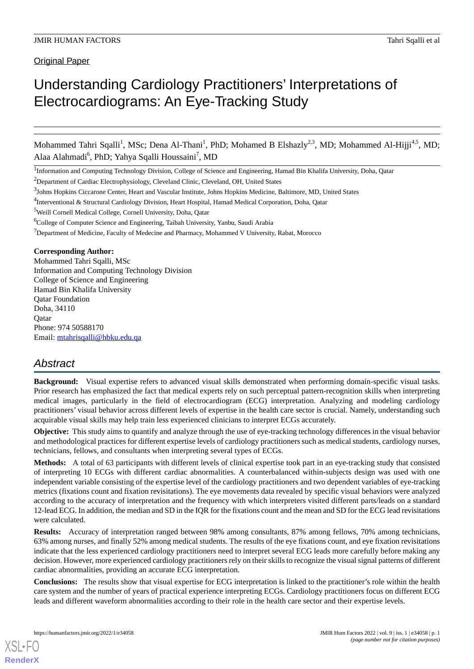**Original Paper** 

# Understanding Cardiology Practitioners' Interpretations of Electrocardiograms: An Eye-Tracking Study

Mohammed Tahri Sqalli<sup>1</sup>, MSc; Dena Al-Thani<sup>1</sup>, PhD; Mohamed B Elshazly<sup>2,3</sup>, MD; Mohammed Al-Hijji<sup>4,5</sup>, MD; Alaa Alahmadi<sup>6</sup>, PhD; Yahya Sqalli Houssaini<sup>7</sup>, MD

<sup>1</sup>Information and Computing Technology Division, College of Science and Engineering, Hamad Bin Khalifa University, Doha, Qatar

<sup>2</sup>Department of Cardiac Electrophysiology, Cleveland Clinic, Cleveland, OH, United States

<sup>5</sup>Weill Cornell Medical College, Cornell University, Doha, Qatar

<sup>6</sup>College of Computer Science and Engineering, Taibah University, Yanbu, Saudi Arabia

 $7$ Department of Medicine, Faculty of Medecine and Pharmacy, Mohammed V University, Rabat, Morocco

#### **Corresponding Author:**

Mohammed Tahri Sqalli, MSc Information and Computing Technology Division College of Science and Engineering Hamad Bin Khalifa University Qatar Foundation Doha, 34110 **O**atar Phone: 974 50588170 Email: [mtahrisqalli@hbku.edu.qa](mailto:mtahrisqalli@hbku.edu.qa)

# *Abstract*

**Background:** Visual expertise refers to advanced visual skills demonstrated when performing domain-specific visual tasks. Prior research has emphasized the fact that medical experts rely on such perceptual pattern-recognition skills when interpreting medical images, particularly in the field of electrocardiogram (ECG) interpretation. Analyzing and modeling cardiology practitioners' visual behavior across different levels of expertise in the health care sector is crucial. Namely, understanding such acquirable visual skills may help train less experienced clinicians to interpret ECGs accurately.

**Objective:** This study aims to quantify and analyze through the use of eye-tracking technology differences in the visual behavior and methodological practices for different expertise levels of cardiology practitioners such as medical students, cardiology nurses, technicians, fellows, and consultants when interpreting several types of ECGs.

**Methods:** A total of 63 participants with different levels of clinical expertise took part in an eye-tracking study that consisted of interpreting 10 ECGs with different cardiac abnormalities. A counterbalanced within-subjects design was used with one independent variable consisting of the expertise level of the cardiology practitioners and two dependent variables of eye-tracking metrics (fixations count and fixation revisitations). The eye movements data revealed by specific visual behaviors were analyzed according to the accuracy of interpretation and the frequency with which interpreters visited different parts/leads on a standard 12-lead ECG. In addition, the median and SD in the IQR for the fixations count and the mean and SD for the ECG lead revisitations were calculated.

**Results:** Accuracy of interpretation ranged between 98% among consultants, 87% among fellows, 70% among technicians, 63% among nurses, and finally 52% among medical students. The results of the eye fixations count, and eye fixation revisitations indicate that the less experienced cardiology practitioners need to interpret several ECG leads more carefully before making any decision. However, more experienced cardiology practitioners rely on their skills to recognize the visual signal patterns of different cardiac abnormalities, providing an accurate ECG interpretation.

**Conclusions:** The results show that visual expertise for ECG interpretation is linked to the practitioner's role within the health care system and the number of years of practical experience interpreting ECGs. Cardiology practitioners focus on different ECG leads and different waveform abnormalities according to their role in the health care sector and their expertise levels.

[XSL](http://www.w3.org/Style/XSL)•FO **[RenderX](http://www.renderx.com/)**

<sup>&</sup>lt;sup>3</sup>Johns Hopkins Ciccarone Center, Heart and Vascular Institute, Johns Hopkins Medicine, Baltimore, MD, United States

<sup>&</sup>lt;sup>4</sup>Interventional & Structural Cardiology Division, Heart Hospital, Hamad Medical Corporation, Doha, Qatar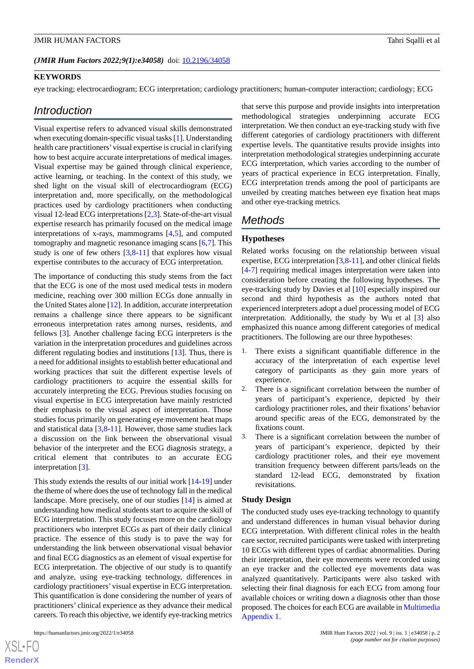#### **KEYWORDS**

eye tracking; electrocardiogram; ECG interpretation; cardiology practitioners; human-computer interaction; cardiology; ECG

### *Introduction*

Visual expertise refers to advanced visual skills demonstrated when executing domain-specific visual tasks [\[1\]](#page-7-0). Understanding health care practitioners'visual expertise is crucial in clarifying how to best acquire accurate interpretations of medical images. Visual expertise may be gained through clinical experience, active learning, or teaching. In the context of this study, we shed light on the visual skill of electrocardiogram (ECG) interpretation and, more specifically, on the methodological practices used by cardiology practitioners when conducting visual 12-lead ECG interpretations [[2](#page-7-1)[,3](#page-7-2)]. State-of-the-art visual expertise research has primarily focused on the medical image interpretations of x-rays, mammograms [[4](#page-7-3)[,5](#page-7-4)], and computed tomography and magnetic resonance imaging scans [\[6](#page-7-5),[7\]](#page-7-6). This study is one of few others  $[3,8-11]$  $[3,8-11]$  $[3,8-11]$  $[3,8-11]$  $[3,8-11]$  that explores how visual expertise contributes to the accuracy of ECG interpretation.

The importance of conducting this study stems from the fact that the ECG is one of the most used medical tests in modern medicine, reaching over 300 million ECGs done annually in the United States alone [\[12](#page-8-2)]. In addition, accurate interpretation remains a challenge since there appears to be significant erroneous interpretation rates among nurses, residents, and fellows [\[3](#page-7-2)]. Another challenge facing ECG interpreters is the variation in the interpretation procedures and guidelines across different regulating bodies and institutions [[13\]](#page-8-3). Thus, there is a need for additional insights to establish better educational and working practices that suit the different expertise levels of cardiology practitioners to acquire the essential skills for accurately interpreting the ECG. Previous studies focusing on visual expertise in ECG interpretation have mainly restricted their emphasis to the visual aspect of interpretation. Those studies focus primarily on generating eye movement heat maps and statistical data [[3,](#page-7-2)[8](#page-8-0)[-11](#page-8-1)]. However, those same studies lack a discussion on the link between the observational visual behavior of the interpreter and the ECG diagnosis strategy, a critical element that contributes to an accurate ECG interpretation [\[3](#page-7-2)].

This study extends the results of our initial work [[14](#page-8-4)[-19](#page-8-5)] under the theme of where does the use of technology fall in the medical landscape. More precisely, one of our studies [\[14](#page-8-4)] is aimed at understanding how medical students start to acquire the skill of ECG interpretation. This study focuses more on the cardiology practitioners who interpret ECGs as part of their daily clinical practice. The essence of this study is to pave the way for understanding the link between observational visual behavior and final ECG diagnostics as an element of visual expertise for ECG interpretation. The objective of our study is to quantify and analyze, using eye-tracking technology, differences in cardiology practitioners'visual expertise in ECG interpretation. This quantification is done considering the number of years of practitioners' clinical experience as they advance their medical careers. To reach this objective, we identify eye-tracking metrics

 $XS$  • FO **[RenderX](http://www.renderx.com/)** that serve this purpose and provide insights into interpretation methodological strategies underpinning accurate ECG interpretation. We then conduct an eye-tracking study with five different categories of cardiology practitioners with different expertise levels. The quantitative results provide insights into interpretation methodological strategies underpinning accurate ECG interpretation, which varies according to the number of years of practical experience in ECG interpretation. Finally, ECG interpretation trends among the pool of participants are unveiled by creating matches between eye fixation heat maps and other eye-tracking metrics.

# *Methods*

#### **Hypotheses**

Related works focusing on the relationship between visual expertise, ECG interpretation [[3](#page-7-2)[,8](#page-8-0)-[11\]](#page-8-1), and other clinical fields [[4](#page-7-3)[-7](#page-7-6)] requiring medical images interpretation were taken into consideration before creating the following hypotheses. The eye-tracking study by Davies et al [\[10](#page-8-6)] especially inspired our second and third hypothesis as the authors noted that experienced interpreters adopt a duel processing model of ECG interpretation. Additionally, the study by Wu et al [[3\]](#page-7-2) also emphasized this nuance among different categories of medical practitioners. The following are our three hypotheses:

- 1. There exists a significant quantifiable difference in the accuracy of the interpretation of each expertise level category of participants as they gain more years of experience.
- 2. There is a significant correlation between the number of years of participant's experience, depicted by their cardiology practitioner roles, and their fixations' behavior around specific areas of the ECG, demonstrated by the fixations count.
- 3. There is a significant correlation between the number of years of participant's experience, depicted by their cardiology practitioner roles, and their eye movement transition frequency between different parts/leads on the standard 12-lead ECG, demonstrated by fixation revisitations.

#### **Study Design**

The conducted study uses eye-tracking technology to quantify and understand differences in human visual behavior during ECG interpretation. With different clinical roles in the health care sector, recruited participants were tasked with interpreting 10 ECGs with different types of cardiac abnormalities. During their interpretation, their eye movements were recorded using an eye tracker and the collected eye movements data was analyzed quantitatively. Participants were also tasked with selecting their final diagnosis for each ECG from among four available choices or writing down a diagnosis other than those proposed. The choices for each ECG are available in [Multimedia](#page-7-7) [Appendix 1.](#page-7-7)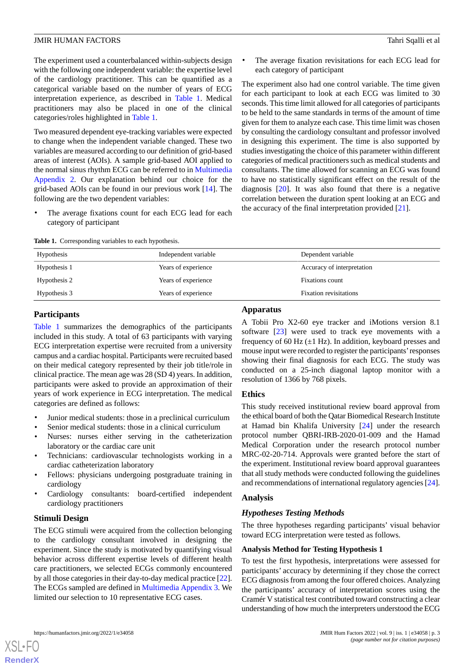The experiment used a counterbalanced within-subjects design with the following one independent variable: the expertise level of the cardiology practitioner. This can be quantified as a categorical variable based on the number of years of ECG interpretation experience, as described in [Table 1.](#page-2-0) Medical practitioners may also be placed in one of the clinical categories/roles highlighted in [Table 1](#page-2-0).

Two measured dependent eye-tracking variables were expected to change when the independent variable changed. These two variables are measured according to our definition of grid-based areas of interest (AOIs). A sample grid-based AOI applied to the normal sinus rhythm ECG can be referred to in [Multimedia](#page-7-8) [Appendix 2](#page-7-8). Our explanation behind our choice for the grid-based AOIs can be found in our previous work [\[14](#page-8-4)]. The following are the two dependent variables:

<span id="page-2-0"></span>The average fixations count for each ECG lead for each category of participant

|  | <b>Table 1.</b> Corresponding variables to each hypothesis. |  |  |  |
|--|-------------------------------------------------------------|--|--|--|
|--|-------------------------------------------------------------|--|--|--|

The average fixation revisitations for each ECG lead for each category of participant

The experiment also had one control variable. The time given for each participant to look at each ECG was limited to 30 seconds. This time limit allowed for all categories of participants to be held to the same standards in terms of the amount of time given for them to analyze each case. This time limit was chosen by consulting the cardiology consultant and professor involved in designing this experiment. The time is also supported by studies investigating the choice of this parameter within different categories of medical practitioners such as medical students and consultants. The time allowed for scanning an ECG was found to have no statistically significant effect on the result of the diagnosis [[20\]](#page-8-7). It was also found that there is a negative correlation between the duration spent looking at an ECG and the accuracy of the final interpretation provided [\[21](#page-8-8)].

| Hypothesis   | Independent variable | Dependent variable            |
|--------------|----------------------|-------------------------------|
| Hypothesis 1 | Years of experience  | Accuracy of interpretation    |
| Hypothesis 2 | Years of experience  | Fixations count               |
| Hypothesis 3 | Years of experience  | <b>Fixation revisitations</b> |

#### **Participants**

[Table 1](#page-2-0) summarizes the demographics of the participants included in this study. A total of 63 participants with varying ECG interpretation expertise were recruited from a university campus and a cardiac hospital. Participants were recruited based on their medical category represented by their job title/role in clinical practice. The mean age was 28 (SD 4) years. In addition, participants were asked to provide an approximation of their years of work experience in ECG interpretation. The medical categories are defined as follows:

- Junior medical students: those in a preclinical curriculum
- Senior medical students: those in a clinical curriculum
- Nurses: nurses either serving in the catheterization laboratory or the cardiac care unit
- Technicians: cardiovascular technologists working in a cardiac catheterization laboratory
- Fellows: physicians undergoing postgraduate training in cardiology
- Cardiology consultants: board-certified independent cardiology practitioners

#### **Stimuli Design**

The ECG stimuli were acquired from the collection belonging to the cardiology consultant involved in designing the experiment. Since the study is motivated by quantifying visual behavior across different expertise levels of different health care practitioners, we selected ECGs commonly encountered by all those categories in their day-to-day medical practice [[22\]](#page-8-9). The ECGs sampled are defined in [Multimedia Appendix 3.](#page-7-9) We limited our selection to 10 representative ECG cases.

#### **Apparatus**

A Tobii Pro X2-60 eye tracker and iMotions version 8.1 software [[23\]](#page-8-10) were used to track eye movements with a frequency of 60 Hz  $(\pm 1$  Hz). In addition, keyboard presses and mouse input were recorded to register the participants'responses showing their final diagnosis for each ECG. The study was conducted on a 25-inch diagonal laptop monitor with a resolution of 1366 by 768 pixels.

#### **Ethics**

This study received institutional review board approval from the ethical board of both the Qatar Biomedical Research Institute at Hamad bin Khalifa University [[24\]](#page-8-11) under the research protocol number QBRI-IRB-2020-01-009 and the Hamad Medical Corporation under the research protocol number MRC-02-20-714. Approvals were granted before the start of the experiment. Institutional review board approval guarantees that all study methods were conducted following the guidelines and recommendations of international regulatory agencies [\[24\]](#page-8-11).

### **Analysis**

#### *Hypotheses Testing Methods*

The three hypotheses regarding participants' visual behavior toward ECG interpretation were tested as follows.

#### **Analysis Method for Testing Hypothesis 1**

To test the first hypothesis, interpretations were assessed for participants' accuracy by determining if they chose the correct ECG diagnosis from among the four offered choices. Analyzing the participants' accuracy of interpretation scores using the Cramér V statistical test contributed toward constructing a clear understanding of how much the interpreters understood the ECG

[XSL](http://www.w3.org/Style/XSL)•FO **[RenderX](http://www.renderx.com/)**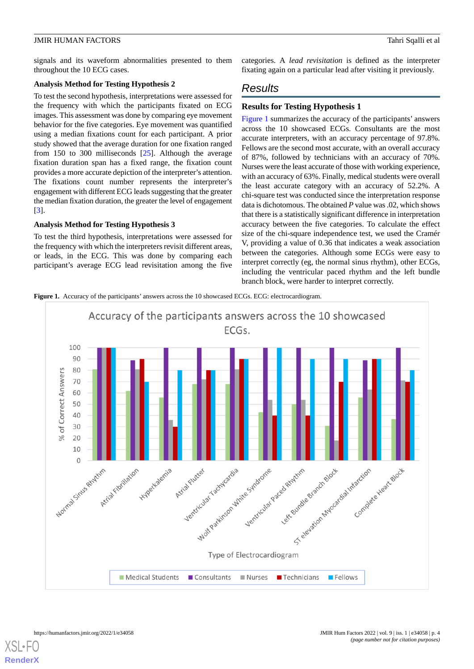signals and its waveform abnormalities presented to them throughout the 10 ECG cases.

#### **Analysis Method for Testing Hypothesis 2**

To test the second hypothesis, interpretations were assessed for the frequency with which the participants fixated on ECG images. This assessment was done by comparing eye movement behavior for the five categories. Eye movement was quantified using a median fixations count for each participant. A prior study showed that the average duration for one fixation ranged from 150 to 300 milliseconds [[25\]](#page-8-12). Although the average fixation duration span has a fixed range, the fixation count provides a more accurate depiction of the interpreter's attention. The fixations count number represents the interpreter's engagement with different ECG leads suggesting that the greater the median fixation duration, the greater the level of engagement [[3\]](#page-7-2).

#### **Analysis Method for Testing Hypothesis 3**

To test the third hypothesis, interpretations were assessed for the frequency with which the interpreters revisit different areas, or leads, in the ECG. This was done by comparing each participant's average ECG lead revisitation among the five categories. A *lead revisitation* is defined as the interpreter fixating again on a particular lead after visiting it previously.

# *Results*

# **Results for Testing Hypothesis 1**

[Figure 1](#page-3-0) summarizes the accuracy of the participants' answers across the 10 showcased ECGs. Consultants are the most accurate interpreters, with an accuracy percentage of 97.8%. Fellows are the second most accurate, with an overall accuracy of 87%, followed by technicians with an accuracy of 70%. Nurses were the least accurate of those with working experience, with an accuracy of 63%. Finally, medical students were overall the least accurate category with an accuracy of 52.2%. A chi-square test was conducted since the interpretation response data is dichotomous. The obtained *P* value was .02, which shows that there is a statistically significant difference in interpretation accuracy between the five categories. To calculate the effect size of the chi-square independence test, we used the Cramér V, providing a value of 0.36 that indicates a weak association between the categories. Although some ECGs were easy to interpret correctly (eg, the normal sinus rhythm), other ECGs, including the ventricular paced rhythm and the left bundle branch block, were harder to interpret correctly.

<span id="page-3-0"></span>**Figure 1.** Accuracy of the participants' answers across the 10 showcased ECGs. ECG: electrocardiogram.



 $X$ SL•F $C$ **[RenderX](http://www.renderx.com/)**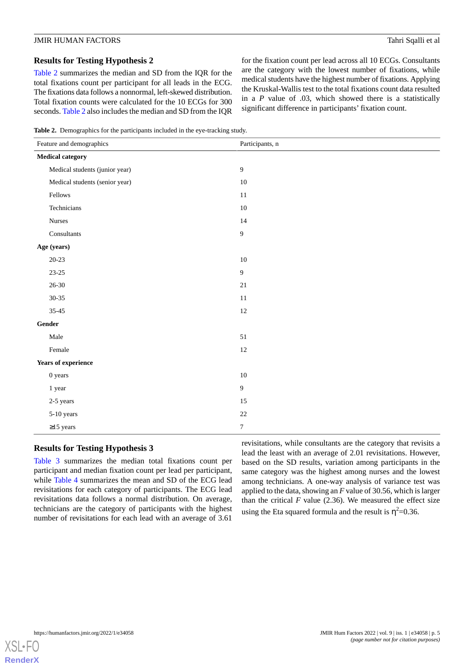### **Results for Testing Hypothesis 2**

[Table 2](#page-4-0) summarizes the median and SD from the IQR for the total fixations count per participant for all leads in the ECG. The fixations data follows a nonnormal, left-skewed distribution. Total fixation counts were calculated for the 10 ECGs for 300 seconds. [Table 2](#page-4-0) also includes the median and SD from the IQR for the fixation count per lead across all 10 ECGs. Consultants are the category with the lowest number of fixations, while medical students have the highest number of fixations. Applying the Kruskal-Wallis test to the total fixations count data resulted in a *P* value of .03, which showed there is a statistically significant difference in participants' fixation count.

<span id="page-4-0"></span>**Table 2.** Demographics for the participants included in the eye-tracking study.

| Feature and demographics       | Participants, n |  |
|--------------------------------|-----------------|--|
| <b>Medical category</b>        |                 |  |
| Medical students (junior year) | 9               |  |
| Medical students (senior year) | $10\,$          |  |
| Fellows                        | 11              |  |
| Technicians                    | $10\,$          |  |
| Nurses                         | 14              |  |
| Consultants                    | 9               |  |
| Age (years)                    |                 |  |
| $20 - 23$                      | $10\,$          |  |
| $23 - 25$                      | 9               |  |
| $26 - 30$                      | $21\,$          |  |
| $30 - 35$                      | $11\,$          |  |
| $35 - 45$                      | $12\,$          |  |
| Gender                         |                 |  |
| Male                           | 51              |  |
| Female                         | $12\,$          |  |
| <b>Years of experience</b>     |                 |  |
| $0$ years                      | $10\,$          |  |
| 1 year                         | 9               |  |
| 2-5 years                      | 15              |  |
| 5-10 years                     | $22\,$          |  |
| $\geq$ 15 years                | $\overline{7}$  |  |

#### **Results for Testing Hypothesis 3**

[Table 3](#page-5-0) summarizes the median total fixations count per participant and median fixation count per lead per participant, while [Table 4](#page-5-1) summarizes the mean and SD of the ECG lead revisitations for each category of participants. The ECG lead revisitations data follows a normal distribution. On average, technicians are the category of participants with the highest number of revisitations for each lead with an average of 3.61

revisitations, while consultants are the category that revisits a lead the least with an average of 2.01 revisitations. However, based on the SD results, variation among participants in the same category was the highest among nurses and the lowest among technicians. A one-way analysis of variance test was applied to the data, showing an *F* value of 30.56, which is larger than the critical  $F$  value (2.36). We measured the effect size using the Eta squared formula and the result is  $\eta^2 = 0.36$ .

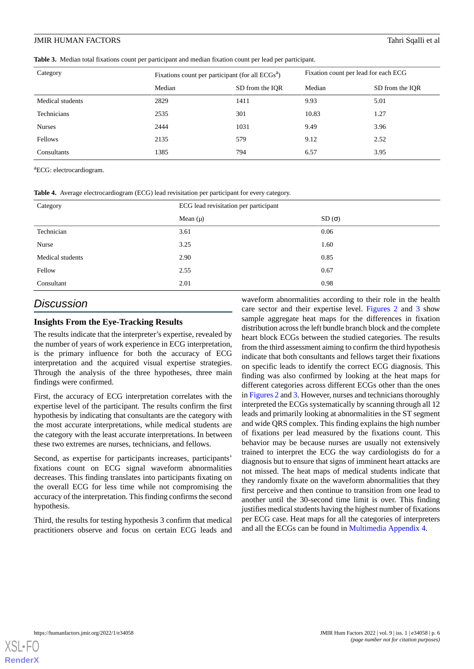<span id="page-5-0"></span>**Table 3.** Median total fixations count per participant and median fixation count per lead per participant.

| Category         | Fixations count per participant (for all $ECGsa$ ) |                 | Fixation count per lead for each ECG |                 |
|------------------|----------------------------------------------------|-----------------|--------------------------------------|-----------------|
|                  | Median                                             | SD from the IOR | Median                               | SD from the IOR |
| Medical students | 2829                                               | 1411            | 9.93                                 | 5.01            |
| Technicians      | 2535                                               | 301             | 10.83                                | 1.27            |
| <b>Nurses</b>    | 2444                                               | 1031            | 9.49                                 | 3.96            |
| Fellows          | 2135                                               | 579             | 9.12                                 | 2.52            |
| Consultants      | 1385                                               | 794             | 6.57                                 | 3.95            |

<span id="page-5-1"></span><sup>a</sup>ECG: electrocardiogram.

**Table 4.** Average electrocardiogram (ECG) lead revisitation per participant for every category.

| Category         | ECG lead revisitation per participant |       |  |
|------------------|---------------------------------------|-------|--|
|                  | Mean $(\mu)$                          | SD(σ) |  |
| Technician       | 3.61                                  | 0.06  |  |
| Nurse            | 3.25                                  | 1.60  |  |
| Medical students | 2.90                                  | 0.85  |  |
| Fellow           | 2.55                                  | 0.67  |  |
| Consultant       | 2.01                                  | 0.98  |  |

# *Discussion*

#### **Insights From the Eye-Tracking Results**

The results indicate that the interpreter's expertise, revealed by the number of years of work experience in ECG interpretation, is the primary influence for both the accuracy of ECG interpretation and the acquired visual expertise strategies. Through the analysis of the three hypotheses, three main findings were confirmed.

First, the accuracy of ECG interpretation correlates with the expertise level of the participant. The results confirm the first hypothesis by indicating that consultants are the category with the most accurate interpretations, while medical students are the category with the least accurate interpretations. In between these two extremes are nurses, technicians, and fellows.

Second, as expertise for participants increases, participants' fixations count on ECG signal waveform abnormalities decreases. This finding translates into participants fixating on the overall ECG for less time while not compromising the accuracy of the interpretation. This finding confirms the second hypothesis.

Third, the results for testing hypothesis 3 confirm that medical practitioners observe and focus on certain ECG leads and waveform abnormalities according to their role in the health care sector and their expertise level. [Figures 2](#page-6-0) and [3](#page-6-1) show sample aggregate heat maps for the differences in fixation distribution across the left bundle branch block and the complete heart block ECGs between the studied categories. The results from the third assessment aiming to confirm the third hypothesis indicate that both consultants and fellows target their fixations on specific leads to identify the correct ECG diagnosis. This finding was also confirmed by looking at the heat maps for different categories across different ECGs other than the ones in [Figures 2](#page-6-0) and [3.](#page-6-1) However, nurses and technicians thoroughly interpreted the ECGs systematically by scanning through all 12 leads and primarily looking at abnormalities in the ST segment and wide QRS complex. This finding explains the high number of fixations per lead measured by the fixations count. This behavior may be because nurses are usually not extensively trained to interpret the ECG the way cardiologists do for a diagnosis but to ensure that signs of imminent heart attacks are not missed. The heat maps of medical students indicate that they randomly fixate on the waveform abnormalities that they first perceive and then continue to transition from one lead to another until the 30-second time limit is over. This finding justifies medical students having the highest number of fixations per ECG case. Heat maps for all the categories of interpreters and all the ECGs can be found in [Multimedia Appendix 4.](#page-7-10)

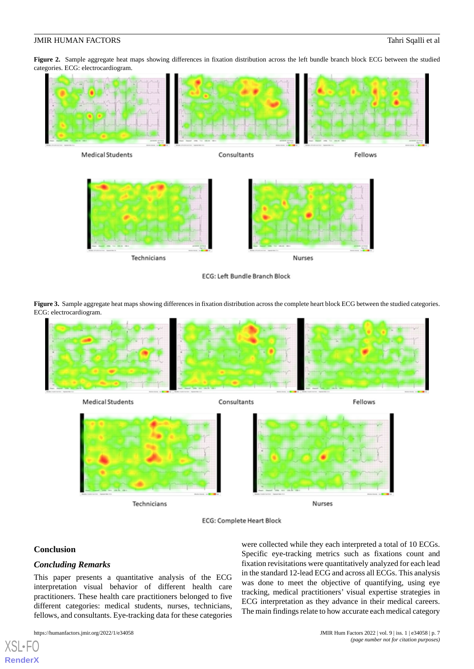<span id="page-6-0"></span>Figure 2. Sample aggregate heat maps showing differences in fixation distribution across the left bundle branch block ECG between the studied categories. ECG: electrocardiogram.



ECG: Left Bundle Branch Block

<span id="page-6-1"></span>**Figure 3.** Sample aggregate heat maps showing differences in fixation distribution across the complete heart block ECG between the studied categories. ECG: electrocardiogram.



**Medical Students** 

Consultants

Fellows



Nurses

**ECG: Complete Heart Block** 

#### **Conclusion**

[XSL](http://www.w3.org/Style/XSL)•FO **[RenderX](http://www.renderx.com/)**

#### *Concluding Remarks*

This paper presents a quantitative analysis of the ECG interpretation visual behavior of different health care practitioners. These health care practitioners belonged to five different categories: medical students, nurses, technicians, fellows, and consultants. Eye-tracking data for these categories

Technicians

were collected while they each interpreted a total of 10 ECGs. Specific eye-tracking metrics such as fixations count and fixation revisitations were quantitatively analyzed for each lead in the standard 12-lead ECG and across all ECGs. This analysis was done to meet the objective of quantifying, using eye tracking, medical practitioners' visual expertise strategies in ECG interpretation as they advance in their medical careers. The main findings relate to how accurate each medical category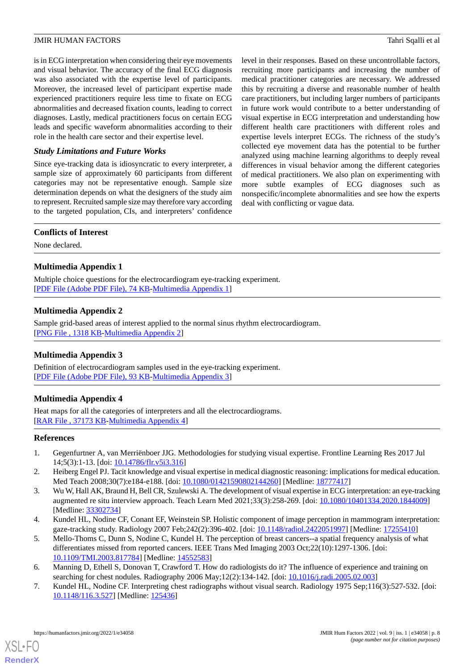is in ECG interpretation when considering their eye movements and visual behavior. The accuracy of the final ECG diagnosis was also associated with the expertise level of participants. Moreover, the increased level of participant expertise made experienced practitioners require less time to fixate on ECG abnormalities and decreased fixation counts, leading to correct diagnoses. Lastly, medical practitioners focus on certain ECG leads and specific waveform abnormalities according to their role in the health care sector and their expertise level.

#### *Study Limitations and Future Works*

Since eye-tracking data is idiosyncratic to every interpreter, a sample size of approximately 60 participants from different categories may not be representative enough. Sample size determination depends on what the designers of the study aim to represent. Recruited sample size may therefore vary according to the targeted population, CIs, and interpreters' confidence

level in their responses. Based on these uncontrollable factors, recruiting more participants and increasing the number of medical practitioner categories are necessary. We addressed this by recruiting a diverse and reasonable number of health care practitioners, but including larger numbers of participants in future work would contribute to a better understanding of visual expertise in ECG interpretation and understanding how different health care practitioners with different roles and expertise levels interpret ECGs. The richness of the study's collected eye movement data has the potential to be further analyzed using machine learning algorithms to deeply reveal differences in visual behavior among the different categories of medical practitioners. We also plan on experimenting with more subtle examples of ECG diagnoses such as nonspecific/incomplete abnormalities and see how the experts deal with conflicting or vague data.

#### **Conflicts of Interest**

<span id="page-7-7"></span>None declared.

# **Multimedia Appendix 1**

<span id="page-7-8"></span>Multiple choice questions for the electrocardiogram eye-tracking experiment. [[PDF File \(Adobe PDF File\), 74 KB](https://jmir.org/api/download?alt_name=humanfactors_v9i1e34058_app1.pdf&filename=e7e00e19fd1b585e810d1e6886834211.pdf)-[Multimedia Appendix 1\]](https://jmir.org/api/download?alt_name=humanfactors_v9i1e34058_app1.pdf&filename=e7e00e19fd1b585e810d1e6886834211.pdf)

### **Multimedia Appendix 2**

<span id="page-7-9"></span>Sample grid-based areas of interest applied to the normal sinus rhythm electrocardiogram. [[PNG File , 1318 KB-Multimedia Appendix 2](https://jmir.org/api/download?alt_name=humanfactors_v9i1e34058_app2.png&filename=60b6a62e857fc6191565fe397c88ecb1.png)]

### <span id="page-7-10"></span>**Multimedia Appendix 3**

Definition of electrocardiogram samples used in the eye-tracking experiment. [[PDF File \(Adobe PDF File\), 93 KB](https://jmir.org/api/download?alt_name=humanfactors_v9i1e34058_app3.pdf&filename=74b185539166cbfdfb16fd18c1c935c3.pdf)-[Multimedia Appendix 3\]](https://jmir.org/api/download?alt_name=humanfactors_v9i1e34058_app3.pdf&filename=74b185539166cbfdfb16fd18c1c935c3.pdf)

### **Multimedia Appendix 4**

<span id="page-7-0"></span>Heat maps for all the categories of interpreters and all the electrocardiograms. [RAR File, 37173 KB-[Multimedia Appendix 4\]](https://jmir.org/api/download?alt_name=humanfactors_v9i1e34058_app4.rar&filename=9800fec6e6c1c25b85cdd21d9efefcf2.rar)

#### <span id="page-7-2"></span><span id="page-7-1"></span>**References**

- 1. Gegenfurtner A, van Merriënboer JJG. Methodologies for studying visual expertise. Frontline Learning Res 2017 Jul 14;5(3):1-13. [doi: [10.14786/flr.v5i3.316](http://dx.doi.org/10.14786/flr.v5i3.316)]
- <span id="page-7-3"></span>2. Heiberg Engel PJ. Tacit knowledge and visual expertise in medical diagnostic reasoning: implications for medical education. Med Teach 2008;30(7):e184-e188. [doi: [10.1080/01421590802144260\]](http://dx.doi.org/10.1080/01421590802144260) [Medline: [18777417\]](http://www.ncbi.nlm.nih.gov/entrez/query.fcgi?cmd=Retrieve&db=PubMed&list_uids=18777417&dopt=Abstract)
- <span id="page-7-4"></span>3. Wu W, Hall AK, Braund H, Bell CR, Szulewski A. The development of visual expertise in ECG interpretation: an eye-tracking augmented re situ interview approach. Teach Learn Med 2021;33(3):258-269. [doi: [10.1080/10401334.2020.1844009\]](http://dx.doi.org/10.1080/10401334.2020.1844009) [Medline: [33302734](http://www.ncbi.nlm.nih.gov/entrez/query.fcgi?cmd=Retrieve&db=PubMed&list_uids=33302734&dopt=Abstract)]
- <span id="page-7-6"></span><span id="page-7-5"></span>4. Kundel HL, Nodine CF, Conant EF, Weinstein SP. Holistic component of image perception in mammogram interpretation: gaze-tracking study. Radiology 2007 Feb;242(2):396-402. [doi: [10.1148/radiol.2422051997](http://dx.doi.org/10.1148/radiol.2422051997)] [Medline: [17255410\]](http://www.ncbi.nlm.nih.gov/entrez/query.fcgi?cmd=Retrieve&db=PubMed&list_uids=17255410&dopt=Abstract)
- 5. Mello-Thoms C, Dunn S, Nodine C, Kundel H. The perception of breast cancers--a spatial frequency analysis of what differentiates missed from reported cancers. IEEE Trans Med Imaging 2003 Oct;22(10):1297-1306. [doi: [10.1109/TMI.2003.817784](http://dx.doi.org/10.1109/TMI.2003.817784)] [Medline: [14552583\]](http://www.ncbi.nlm.nih.gov/entrez/query.fcgi?cmd=Retrieve&db=PubMed&list_uids=14552583&dopt=Abstract)
- 6. Manning D, Ethell S, Donovan T, Crawford T. How do radiologists do it? The influence of experience and training on searching for chest nodules. Radiography 2006 May;12(2):134-142. [doi: [10.1016/j.radi.2005.02.003](http://dx.doi.org/10.1016/j.radi.2005.02.003)]
- 7. Kundel HL, Nodine CF. Interpreting chest radiographs without visual search. Radiology 1975 Sep;116(3):527-532. [doi: [10.1148/116.3.527\]](http://dx.doi.org/10.1148/116.3.527) [Medline: [125436\]](http://www.ncbi.nlm.nih.gov/entrez/query.fcgi?cmd=Retrieve&db=PubMed&list_uids=125436&dopt=Abstract)

[XSL](http://www.w3.org/Style/XSL)•FO **[RenderX](http://www.renderx.com/)**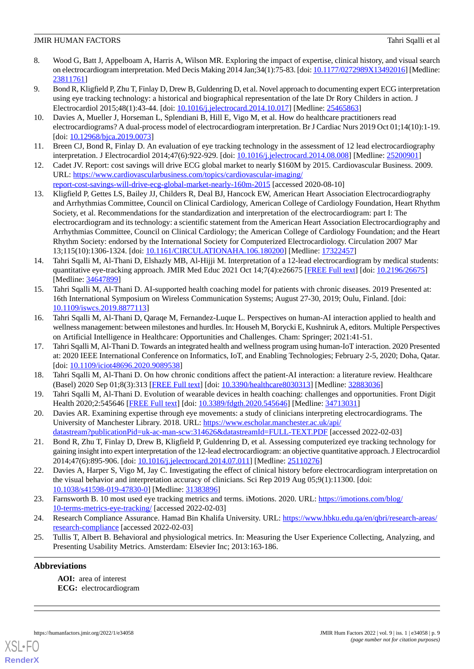- <span id="page-8-0"></span>8. Wood G, Batt J, Appelboam A, Harris A, Wilson MR. Exploring the impact of expertise, clinical history, and visual search on electrocardiogram interpretation. Med Decis Making 2014 Jan;34(1):75-83. [doi: [10.1177/0272989X13492016\]](http://dx.doi.org/10.1177/0272989X13492016) [Medline: [23811761](http://www.ncbi.nlm.nih.gov/entrez/query.fcgi?cmd=Retrieve&db=PubMed&list_uids=23811761&dopt=Abstract)]
- 9. Bond R, Kligfield P, Zhu T, Finlay D, Drew B, Guldenring D, et al. Novel approach to documenting expert ECG interpretation using eye tracking technology: a historical and biographical representation of the late Dr Rory Childers in action. J Electrocardiol 2015;48(1):43-44. [doi: [10.1016/j.jelectrocard.2014.10.017\]](http://dx.doi.org/10.1016/j.jelectrocard.2014.10.017) [Medline: [25465863\]](http://www.ncbi.nlm.nih.gov/entrez/query.fcgi?cmd=Retrieve&db=PubMed&list_uids=25465863&dopt=Abstract)
- <span id="page-8-6"></span>10. Davies A, Mueller J, Horseman L, Splendiani B, Hill E, Vigo M, et al. How do healthcare practitioners read electrocardiograms? A dual-process model of electrocardiogram interpretation. Br J Cardiac Nurs 2019 Oct 01;14(10):1-19. [doi: [10.12968/bjca.2019.0073\]](http://dx.doi.org/10.12968/bjca.2019.0073)
- <span id="page-8-2"></span><span id="page-8-1"></span>11. Breen CJ, Bond R, Finlay D. An evaluation of eye tracking technology in the assessment of 12 lead electrocardiography interpretation. J Electrocardiol 2014;47(6):922-929. [doi: [10.1016/j.jelectrocard.2014.08.008](http://dx.doi.org/10.1016/j.jelectrocard.2014.08.008)] [Medline: [25200901\]](http://www.ncbi.nlm.nih.gov/entrez/query.fcgi?cmd=Retrieve&db=PubMed&list_uids=25200901&dopt=Abstract)
- <span id="page-8-3"></span>12. Cadet JV. Report: cost savings will drive ECG global market to nearly \$160M by 2015. Cardiovascular Business. 2009. URL: [https://www.cardiovascularbusiness.com/topics/cardiovascular-imaging/](https://www.cardiovascularbusiness.com/topics/cardiovascular-imaging/report-cost-savings-will-drive-ecg-global-market-nearly-160m-2015) [report-cost-savings-will-drive-ecg-global-market-nearly-160m-2015](https://www.cardiovascularbusiness.com/topics/cardiovascular-imaging/report-cost-savings-will-drive-ecg-global-market-nearly-160m-2015) [accessed 2020-08-10]
- 13. Kligfield P, Gettes LS, Bailey JJ, Childers R, Deal BJ, Hancock EW, American Heart Association Electrocardiography and Arrhythmias Committee, Council on Clinical Cardiology, American College of Cardiology Foundation, Heart Rhythm Society, et al. Recommendations for the standardization and interpretation of the electrocardiogram: part I: The electrocardiogram and its technology: a scientific statement from the American Heart Association Electrocardiography and Arrhythmias Committee, Council on Clinical Cardiology; the American College of Cardiology Foundation; and the Heart Rhythm Society: endorsed by the International Society for Computerized Electrocardiology. Circulation 2007 Mar 13;115(10):1306-1324. [doi: [10.1161/CIRCULATIONAHA.106.180200\]](http://dx.doi.org/10.1161/CIRCULATIONAHA.106.180200) [Medline: [17322457](http://www.ncbi.nlm.nih.gov/entrez/query.fcgi?cmd=Retrieve&db=PubMed&list_uids=17322457&dopt=Abstract)]
- <span id="page-8-4"></span>14. Tahri Sqalli M, Al-Thani D, Elshazly MB, Al-Hijji M. Interpretation of a 12-lead electrocardiogram by medical students: quantitative eye-tracking approach. JMIR Med Educ 2021 Oct 14;7(4):e26675 [[FREE Full text](https://mededu.jmir.org/2021/4/e26675/)] [doi: [10.2196/26675\]](http://dx.doi.org/10.2196/26675) [Medline: [34647899](http://www.ncbi.nlm.nih.gov/entrez/query.fcgi?cmd=Retrieve&db=PubMed&list_uids=34647899&dopt=Abstract)]
- 15. Tahri Sqalli M, Al-Thani D. AI-supported health coaching model for patients with chronic diseases. 2019 Presented at: 16th International Symposium on Wireless Communication Systems; August 27-30, 2019; Oulu, Finland. [doi: [10.1109/iswcs.2019.8877113](http://dx.doi.org/10.1109/iswcs.2019.8877113)]
- 16. Tahri Sqalli M, Al-Thani D, Qaraqe M, Fernandez-Luque L. Perspectives on human-AI interaction applied to health and wellness management: between milestones and hurdles. In: Househ M, Borycki E, Kushniruk A, editors. Multiple Perspectives on Artificial Intelligence in Healthcare: Opportunities and Challenges. Cham: Springer; 2021:41-51.
- <span id="page-8-5"></span>17. Tahri Sqalli M, Al-Thani D. Towards an integrated health and wellness program using human-IoT interaction. 2020 Presented at: 2020 IEEE International Conference on Informatics, IoT, and Enabling Technologies; February 2-5, 2020; Doha, Qatar. [doi: [10.1109/iciot48696.2020.9089538\]](http://dx.doi.org/10.1109/iciot48696.2020.9089538)
- <span id="page-8-7"></span>18. Tahri Sqalli M, Al-Thani D. On how chronic conditions affect the patient-AI interaction: a literature review. Healthcare (Basel) 2020 Sep 01;8(3):313 [[FREE Full text](https://www.mdpi.com/resolver?pii=healthcare8030313)] [doi: [10.3390/healthcare8030313\]](http://dx.doi.org/10.3390/healthcare8030313) [Medline: [32883036\]](http://www.ncbi.nlm.nih.gov/entrez/query.fcgi?cmd=Retrieve&db=PubMed&list_uids=32883036&dopt=Abstract)
- <span id="page-8-8"></span>19. Tahri Sqalli M, Al-Thani D. Evolution of wearable devices in health coaching: challenges and opportunities. Front Digit Health 2020;2:545646 [\[FREE Full text](http://europepmc.org/abstract/MED/34713031)] [doi: [10.3389/fdgth.2020.545646](http://dx.doi.org/10.3389/fdgth.2020.545646)] [Medline: [34713031\]](http://www.ncbi.nlm.nih.gov/entrez/query.fcgi?cmd=Retrieve&db=PubMed&list_uids=34713031&dopt=Abstract)
- <span id="page-8-9"></span>20. Davies AR. Examining expertise through eye movements: a study of clinicians interpreting electrocardiograms. The University of Manchester Library. 2018. URL: [https://www.escholar.manchester.ac.uk/api/](https://www.escholar.manchester.ac.uk/api/datastream?publicationPid=uk-ac-man-scw:314626&datastreamId=FULL-TEXT.PDF) [datastream?publicationPid=uk-ac-man-scw:314626&datastreamId=FULL-TEXT.PDF](https://www.escholar.manchester.ac.uk/api/datastream?publicationPid=uk-ac-man-scw:314626&datastreamId=FULL-TEXT.PDF) [accessed 2022-02-03]
- <span id="page-8-10"></span>21. Bond R, Zhu T, Finlay D, Drew B, Kligfield P, Guldenring D, et al. Assessing computerized eye tracking technology for gaining insight into expert interpretation of the 12-lead electrocardiogram: an objective quantitative approach. J Electrocardiol 2014;47(6):895-906. [doi: [10.1016/j.jelectrocard.2014.07.011\]](http://dx.doi.org/10.1016/j.jelectrocard.2014.07.011) [Medline: [25110276\]](http://www.ncbi.nlm.nih.gov/entrez/query.fcgi?cmd=Retrieve&db=PubMed&list_uids=25110276&dopt=Abstract)
- <span id="page-8-12"></span><span id="page-8-11"></span>22. Davies A, Harper S, Vigo M, Jay C. Investigating the effect of clinical history before electrocardiogram interpretation on the visual behavior and interpretation accuracy of clinicians. Sci Rep 2019 Aug 05;9(1):11300. [doi: [10.1038/s41598-019-47830-0\]](http://dx.doi.org/10.1038/s41598-019-47830-0) [Medline: [31383896\]](http://www.ncbi.nlm.nih.gov/entrez/query.fcgi?cmd=Retrieve&db=PubMed&list_uids=31383896&dopt=Abstract)
- 23. Farnsworth B. 10 most used eye tracking metrics and terms. iMotions. 2020. URL: [https://imotions.com/blog/](https://imotions.com/blog/10-terms-metrics-eye-tracking/) [10-terms-metrics-eye-tracking/](https://imotions.com/blog/10-terms-metrics-eye-tracking/) [accessed 2022-02-03]
- 24. Research Compliance Assurance. Hamad Bin Khalifa University. URL: [https://www.hbku.edu.qa/en/qbri/research-areas/](https://www.hbku.edu.qa/en/qbri/research-areas/research-compliance) [research-compliance](https://www.hbku.edu.qa/en/qbri/research-areas/research-compliance) [accessed 2022-02-03]
- 25. Tullis T, Albert B. Behavioral and physiological metrics. In: Measuring the User Experience Collecting, Analyzing, and Presenting Usability Metrics. Amsterdam: Elsevier Inc; 2013:163-186.

### **Abbreviations**

**AOI:** area of interest **ECG:** electrocardiogram